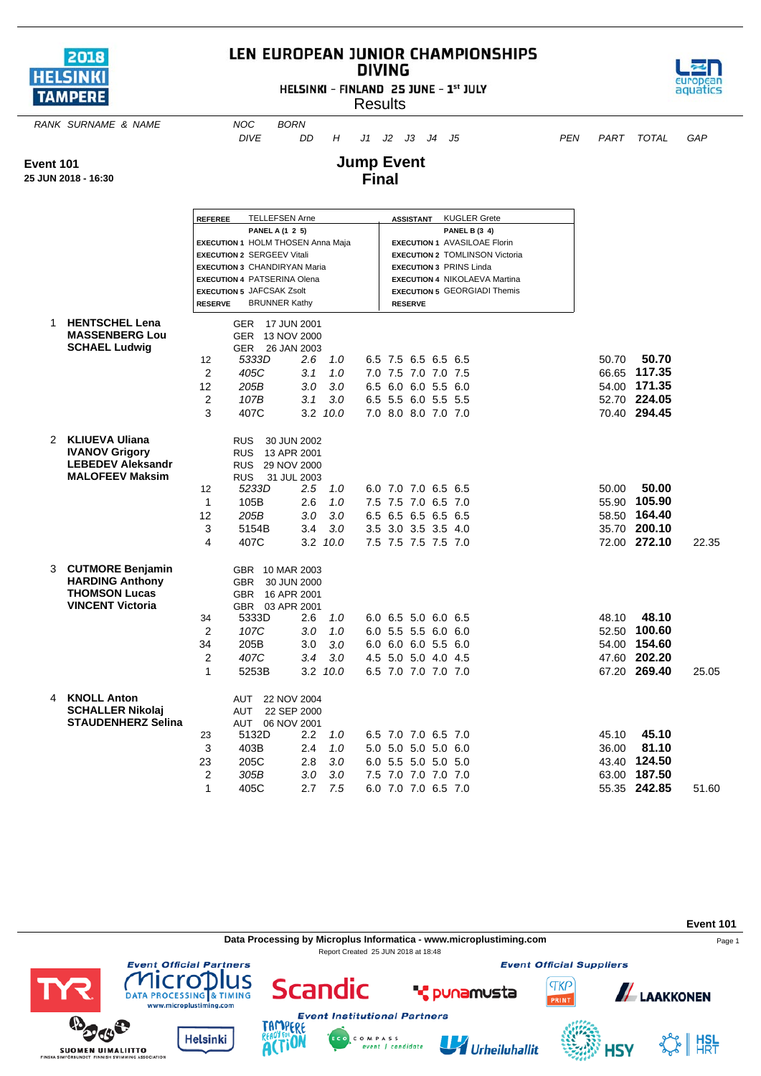

## LEN EUROPEAN JUNIOR CHAMPIONSHIPS **DIVING**

HELSINKI - FINLAND 25 JUNE - 1st JULY **Results** 



*RANK SURNAME & NAME NOC BORN*

*DIVE DD H J1 J2 J3 J4 J5 PEN PART TOTAL GAP*

**HSY** 

**Event 101**

**25 JUN 2018 - 16:30**

## **Jump Event Final**

|                                                   | <b>REFEREE</b>                    | <b>TELLEFSEN Arne</b><br>PANEL A (1 2 5)                                  |                                     |                                     | ASSISTANT                                                              | <b>KUGLER Grete</b><br><b>PANEL B (3 4)</b> |       |              |       |
|---------------------------------------------------|-----------------------------------|---------------------------------------------------------------------------|-------------------------------------|-------------------------------------|------------------------------------------------------------------------|---------------------------------------------|-------|--------------|-------|
|                                                   |                                   | <b>EXECUTION 1 HOLM THOSEN Anna Maja</b>                                  |                                     |                                     | <b>EXECUTION 1 AVASILOAE Florin</b>                                    |                                             |       |              |       |
|                                                   | <b>EXECUTION 2 SERGEEV Vitali</b> |                                                                           |                                     |                                     | <b>EXECUTION 2 TOMLINSON Victoria</b>                                  |                                             |       |              |       |
|                                                   |                                   | <b>EXECUTION 3 CHANDIRYAN Maria</b><br><b>EXECUTION 4 PATSERINA Olena</b> |                                     |                                     | <b>EXECUTION 3 PRINS Linda</b><br><b>EXECUTION 4 NIKOLAEVA Martina</b> |                                             |       |              |       |
|                                                   | <b>EXECUTION 5 JAFCSAK Zsolt</b>  |                                                                           |                                     | <b>EXECUTION 5 GEORGIADI Themis</b> |                                                                        |                                             |       |              |       |
|                                                   | <b>RESERVE</b>                    | <b>BRUNNER Kathy</b>                                                      |                                     |                                     | <b>RESERVE</b>                                                         |                                             |       |              |       |
| <b>HENTSCHEL Lena</b><br>1.                       |                                   | <b>GER</b>                                                                | 17 JUN 2001                         |                                     |                                                                        |                                             |       |              |       |
| <b>MASSENBERG Lou</b>                             |                                   | GER 13 NOV 2000                                                           |                                     |                                     |                                                                        |                                             |       |              |       |
| <b>SCHAEL Ludwig</b>                              | 12                                | GER<br>5333D                                                              | 26 JAN 2003<br>$2.6^{\circ}$<br>1.0 | 6.5 7.5 6.5 6.5 6.5                 |                                                                        |                                             | 50.70 | 50.70        |       |
|                                                   | 2                                 | 405C                                                                      | 3.1<br>1.0                          | 7.0 7.5 7.0 7.0 7.5                 |                                                                        |                                             |       | 66.65 117.35 |       |
|                                                   | 12                                | 205B                                                                      | 3.0<br>3.0                          | 6.5 6.0 6.0 5.5 6.0                 |                                                                        |                                             |       | 54.00 171.35 |       |
|                                                   | 2                                 | 107B                                                                      | 3.1<br>3.0                          | 6.5 5.5 6.0 5.5 5.5                 |                                                                        |                                             |       | 52.70 224.05 |       |
|                                                   | 3                                 | 407C                                                                      |                                     |                                     |                                                                        |                                             |       | 70.40 294.45 |       |
|                                                   |                                   |                                                                           | $3.2 \quad 10.0$                    | 7.0 8.0 8.0 7.0 7.0                 |                                                                        |                                             |       |              |       |
| 2 KLIUEVA Uliana                                  |                                   | <b>RUS</b>                                                                | 30 JUN 2002                         |                                     |                                                                        |                                             |       |              |       |
| <b>IVANOV Grigory</b><br><b>LEBEDEV Aleksandr</b> |                                   | <b>RUS</b>                                                                | 13 APR 2001                         |                                     |                                                                        |                                             |       |              |       |
| <b>MALOFEEV Maksim</b>                            |                                   | <b>RUS</b><br><b>RUS</b>                                                  | 29 NOV 2000<br>31 JUL 2003          |                                     |                                                                        |                                             |       |              |       |
|                                                   | 12                                | 5233D                                                                     | $2.5\,$<br>1.0                      | 6.0 7.0 7.0 6.5 6.5                 |                                                                        |                                             | 50.00 | 50.00        |       |
|                                                   | $\mathbf{1}$                      | 105B                                                                      | 2.6<br>1.0                          | 7.5 7.5 7.0 6.5 7.0                 |                                                                        |                                             |       | 55.90 105.90 |       |
|                                                   | 12                                | 205B                                                                      | 3.0<br>3.0                          | 6.5 6.5 6.5 6.5 6.5                 |                                                                        |                                             |       | 58.50 164.40 |       |
|                                                   | 3                                 | 5154B                                                                     | 3.4<br>3.0                          | 3.5 3.0 3.5 3.5 4.0                 |                                                                        |                                             |       | 35.70 200.10 |       |
|                                                   | 4                                 | 407C                                                                      | 3.2 10.0                            | 7.5 7.5 7.5 7.5 7.0                 |                                                                        |                                             |       | 72.00 272.10 | 22.35 |
|                                                   |                                   |                                                                           |                                     |                                     |                                                                        |                                             |       |              |       |
| <b>CUTMORE Benjamin</b><br>3                      |                                   | GBR 10 MAR 2003                                                           |                                     |                                     |                                                                        |                                             |       |              |       |
| <b>HARDING Anthony</b>                            |                                   | <b>GBR</b>                                                                | 30 JUN 2000                         |                                     |                                                                        |                                             |       |              |       |
| <b>THOMSON Lucas</b><br><b>VINCENT Victoria</b>   |                                   | <b>GBR</b><br>GBR 03 APR 2001                                             | 16 APR 2001                         |                                     |                                                                        |                                             |       |              |       |
|                                                   | 34                                | 5333D                                                                     | 2.6<br>1.0                          | 6.0 6.5 5.0 6.0 6.5                 |                                                                        |                                             | 48.10 | 48.10        |       |
|                                                   | 2                                 | 107C                                                                      | 1.0<br>3.0                          | 6.0 5.5 5.5 6.0 6.0                 |                                                                        |                                             |       | 52.50 100.60 |       |
|                                                   | 34                                | 205B                                                                      | 3.0<br>3.0                          | 6.0 6.0 6.0 5.5 6.0                 |                                                                        |                                             |       | 54.00 154.60 |       |
|                                                   | $\overline{2}$                    | 407C                                                                      | 3.0<br>3.4                          | 4.5 5.0 5.0 4.0 4.5                 |                                                                        |                                             |       | 47.60 202.20 |       |
|                                                   | 1                                 | 5253B                                                                     | 3.2 10.0                            | 6.5 7.0 7.0 7.0 7.0                 |                                                                        |                                             |       | 67.20 269.40 | 25.05 |
|                                                   |                                   |                                                                           |                                     |                                     |                                                                        |                                             |       |              |       |
| <b>KNOLL Anton</b><br>4                           |                                   | <b>AUT</b>                                                                | 22 NOV 2004                         |                                     |                                                                        |                                             |       |              |       |
| <b>SCHALLER Nikolaj</b>                           |                                   | <b>AUT</b>                                                                | 22 SEP 2000                         |                                     |                                                                        |                                             |       |              |       |
| <b>STAUDENHERZ Selina</b>                         |                                   | AUT                                                                       | 06 NOV 2001                         |                                     |                                                                        |                                             |       |              |       |
|                                                   | 23                                | 5132D                                                                     | 2.2<br>1.0                          | 6.5 7.0 7.0 6.5 7.0                 |                                                                        |                                             | 45.10 | 45.10        |       |
|                                                   | 3                                 | 403B                                                                      | 2.4<br>1.0                          | 5.0 5.0 5.0 5.0 6.0                 |                                                                        |                                             | 36.00 | 81.10        |       |
|                                                   | 23                                | 205C                                                                      | 3.0<br>2.8                          | 6.0 5.5 5.0 5.0 5.0                 |                                                                        |                                             |       | 43.40 124.50 |       |
|                                                   | $\overline{2}$                    | 305B                                                                      | 3.0<br>3.0                          | 7.5 7.0 7.0 7.0 7.0                 |                                                                        |                                             | 63.00 | 187.50       |       |
|                                                   | $\mathbf{1}$                      | 405C                                                                      | 7.5<br>2.7                          | 6.0 7.0 7.0 6.5 7.0                 |                                                                        |                                             |       | 55.35 242.85 | 51.60 |

**Event 101 Data Processing by Microplus Informatica - www.microplustiming.com** Page 1 Report Created 25 JUN 2018 at 18:48**Event Official Suppliers Event Official Partners** lus licro Scandic **TKP A**LAAKKONEN **\*** punamusta DATA PROCESSING & TIMING PRINT www.microplustiming.com **Event Institutional Partners** TAMP ERE アイジ **Helsinki**  $\frac{1}{2}$   $\frac{1}{2}$   $\frac{1}{2}$   $\frac{1}{2}$ C O M P A S S<br>event | candidate U Urheiluhallit

**ACTION** 

**SUOMEN UIMALIITTO**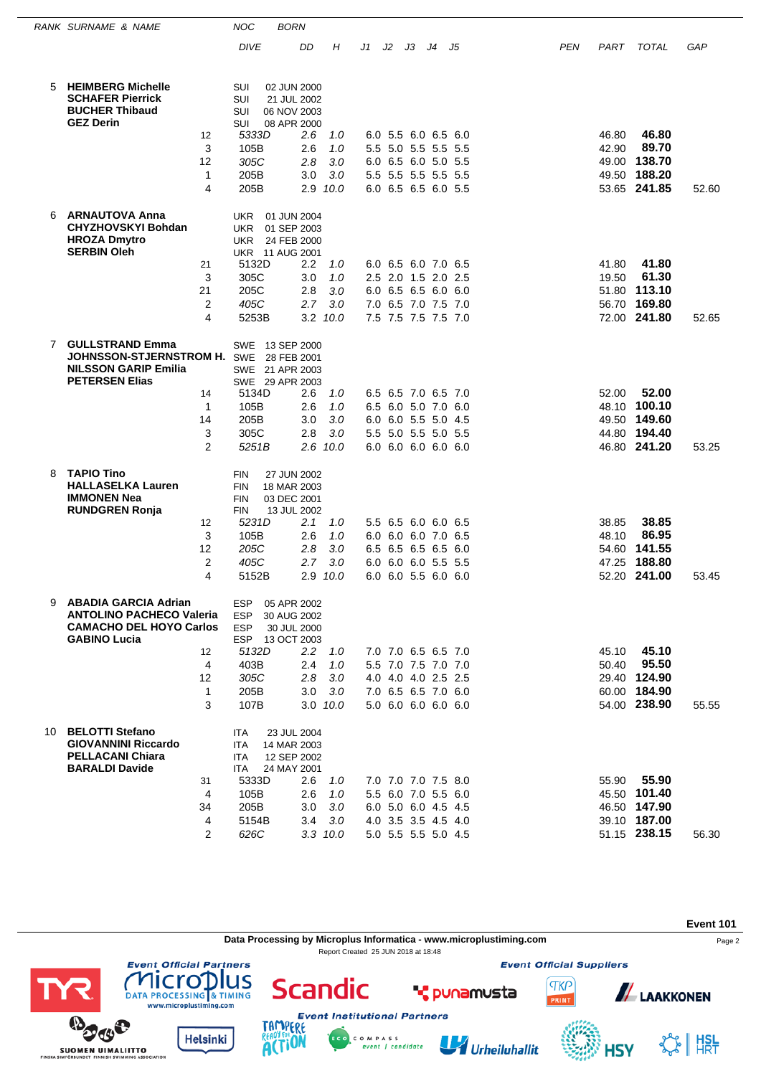|                                                                         | RANK SURNAME & NAME                                                                                                     |                        | <b>NOC</b>                                           | <b>BORN</b>                                                         |            |    |    |    |                                            |    |            |                |                       |       |
|-------------------------------------------------------------------------|-------------------------------------------------------------------------------------------------------------------------|------------------------|------------------------------------------------------|---------------------------------------------------------------------|------------|----|----|----|--------------------------------------------|----|------------|----------------|-----------------------|-------|
|                                                                         |                                                                                                                         |                        | <b>DIVE</b>                                          | DD                                                                  | Η          | J1 | J2 | JЗ | J4                                         | J5 | <b>PEN</b> | PART           | <b>TOTAL</b>          | GAP   |
| 5                                                                       | <b>HEIMBERG Michelle</b><br><b>SCHAFER Pierrick</b><br><b>BUCHER Thibaud</b>                                            |                        | SUI<br>SUI<br>SUI                                    | 02 JUN 2000<br>21 JUL 2002<br>06 NOV 2003                           |            |    |    |    |                                            |    |            |                |                       |       |
|                                                                         | <b>GEZ Derin</b>                                                                                                        | 12                     | SUI<br>5333D                                         | 08 APR 2000<br>2.6                                                  | 1.0        |    |    |    | 6.0 5.5 6.0 6.5 6.0                        |    |            | 46.80          | 46.80                 |       |
|                                                                         |                                                                                                                         | 3                      | 105B<br>305C                                         | 2.6                                                                 | 1.0<br>3.0 |    |    |    | 5.5 5.0 5.5 5.5 5.5                        |    |            | 42.90          | 89.70<br>138.70       |       |
|                                                                         |                                                                                                                         | 12<br>$\mathbf{1}$     | 205B                                                 | 2.8<br>3.0                                                          | 3.0        |    |    |    | 6.0 6.5 6.0 5.0 5.5<br>5.5 5.5 5.5 5.5 5.5 |    |            | 49.00<br>49.50 | 188.20                |       |
|                                                                         |                                                                                                                         | 4                      | 205B                                                 | 2.9                                                                 | 10.0       |    |    |    | 6.0 6.5 6.5 6.0 5.5                        |    |            |                | 53.65 241.85          | 52.60 |
| <b>ARNAUTOVA Anna</b><br>6<br><b>HROZA Dmytro</b><br><b>SERBIN Oleh</b> | <b>CHYZHOVSKYI Bohdan</b>                                                                                               |                        | <b>UKR</b><br><b>UKR</b><br><b>UKR</b>               | 01 JUN 2004<br>01 SEP 2003<br>24 FEB 2000<br><b>UKR 11 AUG 2001</b> |            |    |    |    |                                            |    |            |                |                       |       |
|                                                                         |                                                                                                                         | 21<br>3                | 5132D<br>305C                                        | $2.2\,$<br>3.0                                                      | 1.0<br>1.0 |    |    |    | 6.0 6.5 6.0 7.0 6.5<br>2.5 2.0 1.5 2.0 2.5 |    |            | 41.80<br>19.50 | 41.80<br>61.30        |       |
|                                                                         |                                                                                                                         | 21                     | 205C                                                 | 2.8                                                                 | 3.0        |    |    |    | 6.0 6.5 6.5 6.0 6.0                        |    |            |                | 51.80 113.10          |       |
|                                                                         |                                                                                                                         | 2                      | 405C                                                 | 2.7                                                                 | 3.0        |    |    |    | 7.0 6.5 7.0 7.5 7.0                        |    |            | 56.70          | 169.80                |       |
|                                                                         |                                                                                                                         | 4                      | 5253B                                                | 3.2                                                                 | 10.0       |    |    |    | 7.5 7.5 7.5 7.5 7.0                        |    |            |                | 72.00 241.80          | 52.65 |
| $\overline{7}$                                                          | <b>GULLSTRAND Emma</b><br><b>JOHNSSON-STJERNSTROM H. SWE</b><br><b>NILSSON GARIP Emilia</b><br><b>PETERSEN Elias</b>    |                        | <b>SWE</b><br><b>SWE</b>                             | 13 SEP 2000<br>28 FEB 2001<br>21 APR 2003<br>SWE 29 APR 2003        |            |    |    |    |                                            |    |            |                |                       |       |
|                                                                         |                                                                                                                         | 14<br>1                | 5134D<br>105B                                        | 2.6<br>2.6                                                          | 1.0<br>1.0 |    |    |    | 6.5 6.5 7.0 6.5 7.0<br>6.5 6.0 5.0 7.0 6.0 |    |            | 52.00          | 52.00<br>48.10 100.10 |       |
|                                                                         |                                                                                                                         | 14                     | 205B                                                 | 3.0                                                                 | 3.0        |    |    |    | 6.0 6.0 5.5 5.0 4.5                        |    |            | 49.50          | 149.60                |       |
|                                                                         |                                                                                                                         | 3                      | 305C                                                 | 2.8                                                                 | 3.0        |    |    |    | 5.5 5.0 5.5 5.0 5.5                        |    |            | 44.80          | 194.40                |       |
|                                                                         |                                                                                                                         | $\overline{2}$         | 5251B                                                | 2.6                                                                 | 10.0       |    |    |    | 6.0 6.0 6.0 6.0 6.0                        |    |            |                | 46.80 241.20          | 53.25 |
| 8                                                                       | <b>TAPIO Tino</b><br><b>HALLASELKA Lauren</b><br><b>IMMONEN Nea</b><br><b>RUNDGREN Ronja</b>                            |                        | <b>FIN</b><br><b>FIN</b><br><b>FIN</b><br><b>FIN</b> | 27 JUN 2002<br>18 MAR 2003<br>03 DEC 2001<br>13 JUL 2002            |            |    |    |    |                                            |    |            |                |                       |       |
|                                                                         |                                                                                                                         | 12                     | 5231D                                                | 2.1                                                                 | 1.0        |    |    |    | 5.5 6.5 6.0 6.0 6.5                        |    |            | 38.85          | 38.85                 |       |
|                                                                         |                                                                                                                         | 3<br>12                | 105B<br>205C                                         | 2.6<br>2.8                                                          | 1.0<br>3.0 |    |    |    | 6.0 6.0 6.0 7.0 6.5<br>6.5 6.5 6.5 6.5 6.0 |    |            | 48.10<br>54.60 | 86.95<br>141.55       |       |
|                                                                         |                                                                                                                         | 2                      | 405C                                                 | 2.7                                                                 | 3.0        |    |    |    | 6.0 6.0 6.0 5.5 5.5                        |    |            | 47.25          | 188.80                |       |
|                                                                         |                                                                                                                         | 4                      | 5152B                                                | 2.9                                                                 | 10.0       |    |    |    | 6.0 6.0 5.5 6.0 6.0                        |    |            |                | 52.20 241.00          | 53.45 |
| 9                                                                       | <b>ABADIA GARCIA Adrian</b><br><b>ANTOLINO PACHECO Valeria</b><br><b>CAMACHO DEL HOYO Carlos</b><br><b>GABINO Lucia</b> |                        | <b>ESP</b><br><b>ESP</b><br><b>ESP</b>               | 05 APR 2002<br>30 AUG 2002<br>30 JUL 2000<br>ESP 13 OCT 2003        |            |    |    |    |                                            |    |            |                |                       |       |
|                                                                         |                                                                                                                         | $12 \overline{ }$<br>4 | 5132D<br>403B                                        | $2.2^{\circ}$<br>2.4                                                | 1.0<br>1.0 |    |    |    | 7.0 7.0 6.5 6.5 7.0<br>5.5 7.0 7.5 7.0 7.0 |    |            | 45.10<br>50.40 | 45.10<br>95.50        |       |
|                                                                         |                                                                                                                         | 12                     | 305C                                                 | 2.8                                                                 | 3.0        |    |    |    | 4.0 4.0 4.0 2.5 2.5                        |    |            |                | 29.40 124.90          |       |
|                                                                         |                                                                                                                         | $\mathbf{1}$           | 205B                                                 | 3.0                                                                 | 3.0        |    |    |    | 7.0 6.5 6.5 7.0 6.0                        |    |            |                | 60.00 184.90          |       |
|                                                                         |                                                                                                                         | 3                      | 107B                                                 | $3.0$ $10.0$                                                        |            |    |    |    | 5.0 6.0 6.0 6.0 6.0                        |    |            |                | 54.00 238.90          | 55.55 |
| 10                                                                      | <b>BELOTTI Stefano</b><br><b>GIOVANNINI Riccardo</b><br><b>PELLACANI Chiara</b><br><b>BARALDI Davide</b>                |                        | ITA<br><b>ITA</b><br><b>ITA</b><br>ITA               | 23 JUL 2004<br>14 MAR 2003<br>12 SEP 2002<br>24 MAY 2001            |            |    |    |    |                                            |    |            |                |                       |       |
|                                                                         |                                                                                                                         | 31<br>4                | 5333D<br>105B                                        | 2.6<br>2.6                                                          | 1.0<br>1.0 |    |    |    | 7.0 7.0 7.0 7.5 8.0<br>5.5 6.0 7.0 5.5 6.0 |    |            | 55.90          | 55.90<br>45.50 101.40 |       |
|                                                                         |                                                                                                                         | 34                     | 205B                                                 | 3.0                                                                 | 3.0        |    |    |    | 6.0 5.0 6.0 4.5 4.5                        |    |            |                | 46.50 147.90          |       |
|                                                                         |                                                                                                                         | 4                      | 5154B                                                | 3.4                                                                 | 3.0        |    |    |    | 4.0 3.5 3.5 4.5 4.0                        |    |            |                | 39.10 187.00          |       |
|                                                                         |                                                                                                                         | $\overline{2}$         | 626C                                                 | $3.3$ $10.0$                                                        |            |    |    |    | 5.0 5.5 5.5 5.0 4.5                        |    |            |                | 51.15 238.15          | 56.30 |



COMPASS<br>event | candidate

Urheiluhallit

☆ | #SL

**HSY** 

TAMP ERE

**ACTION** 

**Helsinki** 

**SUOMEN UIMALIITTO**